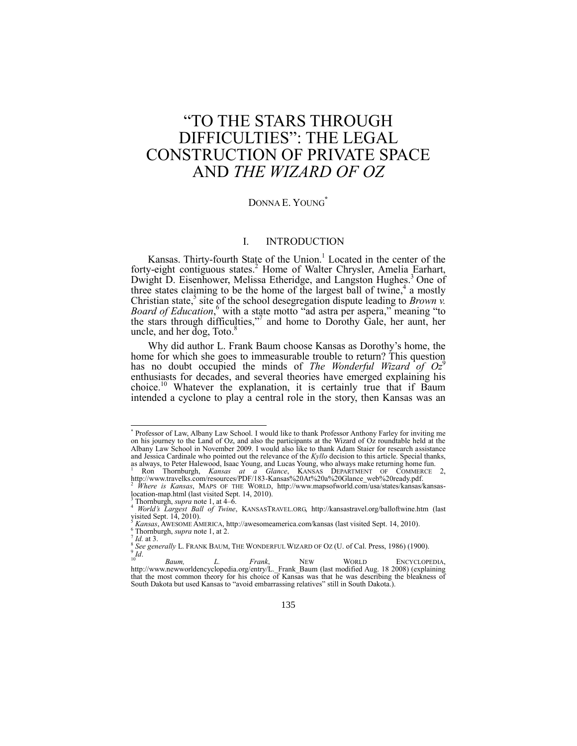# ―TO THE STARS THROUGH DIFFICULTIES": THE LEGAL CONSTRUCTION OF PRIVATE SPACE AND *THE WIZARD OF OZ*

### DONNA E. YOUNG**\***

## <span id="page-0-1"></span><span id="page-0-0"></span>I. INTRODUCTION

Kansas. Thirty-fourth State of the Union.<sup>1</sup> Located in the center of the forty-eight contiguous states.<sup>2</sup> Home of Walter Chrysler, Amelia Earhart, Dwight D. Eisenhower, Melissa Etheridge, and Langston Hughes.<sup>3</sup> One of three states claiming to be the home of the largest ball of twine,<sup>4</sup> a mostly Christian state,<sup>5</sup> site of the school desegregation dispute leading to *Brown v. Board of Education*,<sup>6</sup> with a state motto "ad astra per aspera," meaning "to the stars through difficulties,"<sup>7</sup> and home to Dorothy Gale, her aunt, her uncle, and her dog, Toto. $8$ 

Why did author L. Frank Baum choose Kansas as Dorothy's home, the home for which she goes to immeasurable trouble to return? This question has no doubt occupied the minds of *The Wonderful Wizard of Oz*<sup>9</sup> enthusiasts for decades, and several theories have emerged explaining his choice.<sup>10</sup> Whatever the explanation, it is certainly true that if Baum intended a cyclone to play a central role in the story, then Kansas was an

 \* Professor of Law, Albany Law School. I would like to thank Professor Anthony Farley for inviting me on his journey to the Land of Oz, and also the participants at the Wizard of Oz roundtable held at the Albany Law School in November 2009. I would also like to thank Adam Staier for research assistance and Jessica Cardinale who pointed out the relevance of the *Kyllo* decision to this article. Special thanks, as always, to Peter Halewood, Isaac Young, and Lucas Young, who always make returning home fun.

<sup>&</sup>lt;sup>1</sup> Ron Thornburgh, *Kansas at a Glance*, KANSAS DEPARTMENT OF COMMERCE 2, http://www.travelks.com/resources/PDF/183-Kansas%20At%20a%20Glance\_web%20ready.pdf.

<sup>2</sup> *Where is Kansas*, MAPS OF THE WORLD, http://www.mapsofworld.com/usa/states/kansas/kansaslocation-map.html (last visited Sept. 14, 2010).

<sup>&</sup>lt;sup>3</sup> Thornburgh, *supra* not[e 1,](#page-0-0) at  $4-\hat{6}$ .

<sup>4</sup> *World's Largest Ball of Twine*, KANSASTRAVEL.ORG, http://kansastravel.org/balloftwine.htm (last visited Sept.  $14$ , 2010).

<sup>5</sup> *Kansas*, AWESOME AMERICA, http://awesomeamerica.com/kansas (last visited Sept. 14, 2010). <sup>6</sup> Thornburgh, *supra* not[e 1,](#page-0-0) at 2.

 $\frac{7}{8}$  *Id.* at 3.

*See generally* L. FRANK BAUM, THE WONDERFUL WIZARD OF OZ (U. of Cal. Press, 1986) (1900).  $\int^9 I d$ .

<sup>&</sup>lt;sup>10</sup> *Baum, L. Frank*, NEW WORLD ENCYCLOPEDIA,<br>http://www.newworldencyclopedia.org/entry/L.\_Frank\_Baum (last modified Aug. 18 2008) (explaining that the most common theory for his choice of Kansas was that he was describing the bleakness of South Dakota but used Kansas to "avoid embarrassing relatives" still in South Dakota.).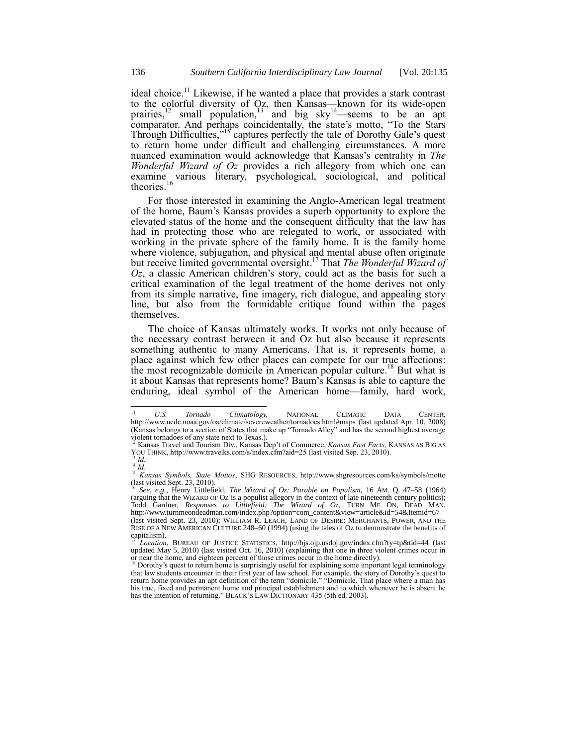ideal choice.<sup>11</sup> Likewise, if he wanted a place that provides a stark contrast to the colorful diversity of Oz, then Kansas—known for its wide-open prairies,<sup>12</sup> small population,<sup>13</sup> and big sky<sup>14</sup>—seems to be an apt comparator. And perhaps coincidentally, the state's motto, "To the Stars" Through Difficulties,"<sup>15'</sup> captures perfectly the tale of Dorothy Gale's quest to return home under difficult and challenging circumstances. A more nuanced examination would acknowledge that Kansas's centrality in *The Wonderful Wizard of Oz* provides a rich allegory from which one can examine various literary, psychological, sociological, and political theories.<sup>16</sup>

<span id="page-1-0"></span>For those interested in examining the Anglo-American legal treatment of the home, Baum's Kansas provides a superb opportunity to explore the elevated status of the home and the consequent difficulty that the law has had in protecting those who are relegated to work, or associated with working in the private sphere of the family home. It is the family home where violence, subjugation, and physical and mental abuse often originate but receive limited governmental oversight. <sup>17</sup> That *The Wonderful Wizard of Oz*, a classic American children's story, could act as the basis for such a critical examination of the legal treatment of the home derives not only from its simple narrative, fine imagery, rich dialogue, and appealing story line, but also from the formidable critique found within the pages themselves.

The choice of Kansas ultimately works. It works not only because of the necessary contrast between it and Oz but also because it represents something authentic to many Americans. That is, it represents home, a place against which few other places can compete for our true affections: the most recognizable domicile in American popular culture.<sup>18</sup> But what is it about Kansas that represents home? Baum's Kansas is able to capture the enduring, ideal symbol of the American home—family, hard work,

 $11$ <sup>11</sup> *U.S. Tornado Climatology,* NATIONAL CLIMATIC DATA CENTER, <http://www.ncdc.noaa.gov/oa/climate/severeweather/tornadoes.html#maps> (last updated Apr. 10, 2008) (Kansas belongs to a section of States that make up "Tornado Alley" and has the second highest average violent tornadoes of any state next to Texas.). <sup>12</sup> Kansas Travel and Tourism Div., Kansas Dep't of Commerce, *Kansas Fast Facts,* KANSAS AS BIG AS

YOU THINK, http://www.travelks.com/s/index.cfm?aid=25 (last visited Sep. 23, 2010).

<sup>13</sup> *Id.* <sup>14</sup> *Id*.

<sup>15</sup> *Kansas Symbols, State Mottos*, SHG RESOURCES, http://www.shgresources.com/ks/symbols/motto (last visited Sept. 23, 2010). <sup>16</sup> *See, e.g.*, Henry Littlefield, *The Wizard of Oz: Parable on Populism*, 16 AM. Q. 47–58 (1964)

<sup>(</sup>arguing that the WIZARD OF OZ is a populist allegory in the context of late nineteenth century politics); Todd Gardner, *Responses to Littlefield: The Wizard of Oz*, TURN ME ON, DEAD MAN, [http://www.turnmeondeadman.com/index.php?option=com\\_content&view=article&id=54&Itemid=67](http://www.turnmeondeadman.com/index.php?option=com_content&view=article&id=54&Itemid=67) (last visited Sept. 23, 2010); WILLIAM R. LEACH, LAND OF DESIRE: MERCHANTS, POWER, AND THE RISE OF A NEW AMERICAN CULTURE 248–60 (1994) (using the tales of Oz to demonstrate the benefits of capitalism).

<sup>&</sup>lt;sup>17</sup> *Location*, BUREAU OF JUSTICE STATISTICS, http://bjs.ojp.usdoj.gov/index.cfm?ty=tp&tid=44 (last updated May 5, 2010) (last visited Oct. 16, 2010) (explaining that one in three violent crimes occur in<br>or near the home, and eighteen percent of those crimes occur in the home directly).<br><sup>18</sup> Dorothy's quest to return hom

that law students encounter in their first year of law school. For example, the story of Dorothy's quest to return home provides an apt definition of the term "domicile." "Domicile. That place where a man has his true, fixed and permanent home and principal establishment and to which whenever he is absent he has the intention of returning." BLACK's LAW DICTIONARY 435 (5th ed. 2003).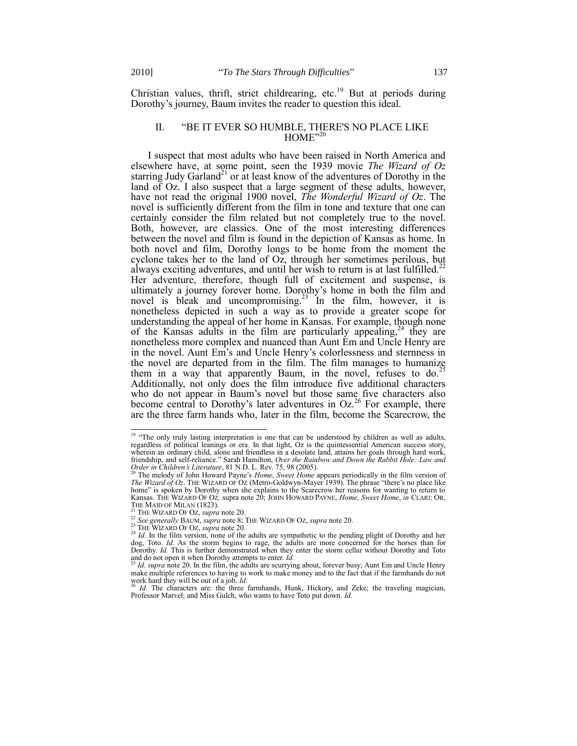Christian values, thrift, strict childrearing, etc.<sup>19</sup> But at periods during Dorothy's journey, Baum invites the reader to question this ideal.

#### <span id="page-2-1"></span><span id="page-2-0"></span>II. "BE IT EVER SO HUMBLE, THERE'S NO PLACE LIKE  $HOME^{\prime,20}$

I suspect that most adults who have been raised in North America and elsewhere have, at some point, seen the 1939 movie *The Wizard of Oz* starring Judy Garland<sup>21</sup> or at least know of the adventures of Dorothy in the land of Oz. I also suspect that a large segment of these adults, however, have not read the original 1900 novel, *The Wonderful Wizard of Oz*. The novel is sufficiently different from the film in tone and texture that one can certainly consider the film related but not completely true to the novel. Both, however, are classics. One of the most interesting differences between the novel and film is found in the depiction of Kansas as home. In both novel and film, Dorothy longs to be home from the moment the cyclone takes her to the land of Oz, through her sometimes perilous, but always exciting adventures, and until her wish to return is at last fulfilled.<sup>2</sup> Her adventure, therefore, though full of excitement and suspense, is ultimately a journey forever home. Dorothy's home in both the film and novel is bleak and uncompromising.<sup>23</sup> In the film, however, it is nonetheless depicted in such a way as to provide a greater scope for understanding the appeal of her home in Kansas. For example, though none of the Kansas adults in the film are particularly appealing,  $24$  they are nonetheless more complex and nuanced than Aunt Em and Uncle Henry are in the novel. Aunt Em's and Uncle Henry's colorlessness and sternness in the novel are departed from in the film. The film manages to humanize them in a way that apparently Baum, in the novel, refuses to  $do^2$ . Additionally, not only does the film introduce five additional characters who do not appear in Baum's novel but those same five characters also become central to Dorothy's later adventures in  $Oz^{26}$  For example, there are the three farm hands who, later in the film, become the Scarecrow, the

<sup>&</sup>lt;sup>19</sup> "The only truly lasting interpretation is one that can be understood by children as well as adults, regardless of political leanings or era. In that light, Oz is the quintessential American success story, wherein an ordinary child, alone and friendless in a desolate land, attains her goals through hard work, friendship, and self-reliance." Sarah Hamilton, *Over the Rainbow and Down the Rabbit Hole: Law and*<br>*Order in Children's Literature*, 81 N.D. L. Rev. 75, 98 (2005).<br><sup>20</sup> The melody of John Howard Payne's *Home, Sweet Home* 

*The Wizard of Oz.* THE WIZARD OF OZ (Metro-Goldwyn-Mayer 1939). The phrase "there's no place like home" is spoken by Dorothy when she explains to the Scarecrow her reasons for wanting to return to Kansas. THE WIZARD OF OZ*,* supra not[e 20;](#page-2-0) JOHN HOWARD PAYNE, *Home, Sweet Home*, *in* CLARI: OR, THE MAID OF MILAN  $(1823)$ .

<sup>21</sup> THE WIZARD OF OZ, *supra* not[e 20.](#page-2-0)

<sup>22</sup> *See generally* BAUM, *supra* note [8;](#page-0-1) THE WIZARD OF OZ, *supra* not[e 20.](#page-2-0)

<sup>&</sup>lt;sup>23</sup> THE WIZARD OF OZ, *supra* not[e 20.](#page-2-0)

<sup>&</sup>lt;sup>24</sup> *Id.* In the film version, none of the adults are sympathetic to the pending plight of Dorothy and her dog, Toto. *Id.* As the storm begins to rage, the adults are more concerned for the horses than for Dorothy. *Id.* This is further demonstrated when they enter the storm cellar without Dorothy and Toto and do not open it when Dorothy attempts to enter. *Id.* 

*Id. supra* not[e 20.](#page-2-0) In the film, the adults are scurrying about, forever busy; Aunt Em and Uncle Henry make multiple references to having to work to make money and to the fact that if the farmhands do not work hard they will be out of a job. *Id.* 

Id. The characters are: the three farmhands, Hunk, Hickory, and Zeke; the traveling magician, Professor Marvel; and Miss Gulch, who wants to have Toto put down. *Id.*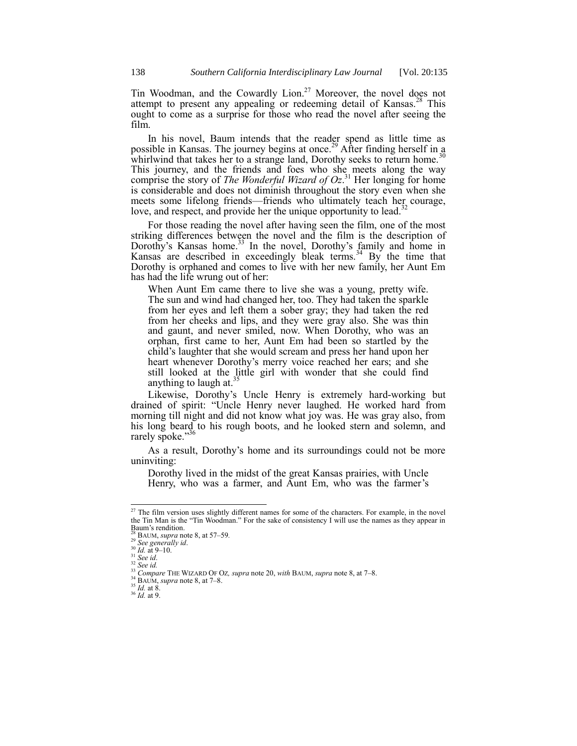Tin Woodman, and the Cowardly Lion.<sup>27</sup> Moreover, the novel does not attempt to present any appealing or redeeming detail of Kansas.<sup>28</sup> This ought to come as a surprise for those who read the novel after seeing the film.

In his novel, Baum intends that the reader spend as little time as possible in Kansas. The journey begins at once.<sup>29</sup> After finding herself in a whirlwind that takes her to a strange land, Dorothy seeks to return home.<sup>3</sup> This journey, and the friends and foes who she meets along the way comprise the story of *The Wonderful Wizard of Oz*. <sup>31</sup> Her longing for home is considerable and does not diminish throughout the story even when she meets some lifelong friends—friends who ultimately teach her courage, love, and respect, and provide her the unique opportunity to lead.<sup>3</sup>

For those reading the novel after having seen the film, one of the most striking differences between the novel and the film is the description of Dorothy's Kansas home.<sup>33</sup> In the novel, Dorothy's family and home in Kansas are described in exceedingly bleak terms.<sup>34</sup> By the time that Dorothy is orphaned and comes to live with her new family, her Aunt Em has had the life wrung out of her:

When Aunt Em came there to live she was a young, pretty wife. The sun and wind had changed her, too. They had taken the sparkle from her eyes and left them a sober gray; they had taken the red from her cheeks and lips, and they were gray also. She was thin and gaunt, and never smiled, now. When Dorothy, who was an orphan, first came to her, Aunt Em had been so startled by the child's laughter that she would scream and press her hand upon her heart whenever Dorothy's merry voice reached her ears; and she still looked at the little girl with wonder that she could find anything to laugh at. $35$ 

Likewise, Dorothy's Uncle Henry is extremely hard-working but drained of spirit: ―Uncle Henry never laughed. He worked hard from morning till night and did not know what joy was. He was gray also, from his long beard to his rough boots, and he looked stern and solemn, and rarely spoke."<sup>36</sup>

As a result, Dorothy's home and its surroundings could not be more uninviting:

Dorothy lived in the midst of the great Kansas prairies, with Uncle Henry, who was a farmer, and Aunt Em, who was the farmer's

 $^{27}$  The film version uses slightly different names for some of the characters. For example, in the novel the Tin Man is the "Tin Woodman." For the sake of consistency I will use the names as they appear in Baum's rendition.

<sup>28</sup> BAUM, *supra* not[e 8,](#page-0-1) at 57–59*.*

<sup>29</sup> *See generally id*.

<sup>30</sup> *Id.* at 9–10. <sup>31</sup> *See id*.

<sup>32</sup> *See id.*

<sup>33</sup> *Compare* THE WIZARD OF OZ*, supra* not[e 20,](#page-2-0) *with* BAUM, *supra* not[e 8,](#page-0-1) at 7–8.

<sup>34</sup> BAUM, *supra* not[e 8,](#page-0-1) at 7–8.

 $35$   $\overline{Id}$ . at 8.

<sup>36</sup> *Id.* at 9.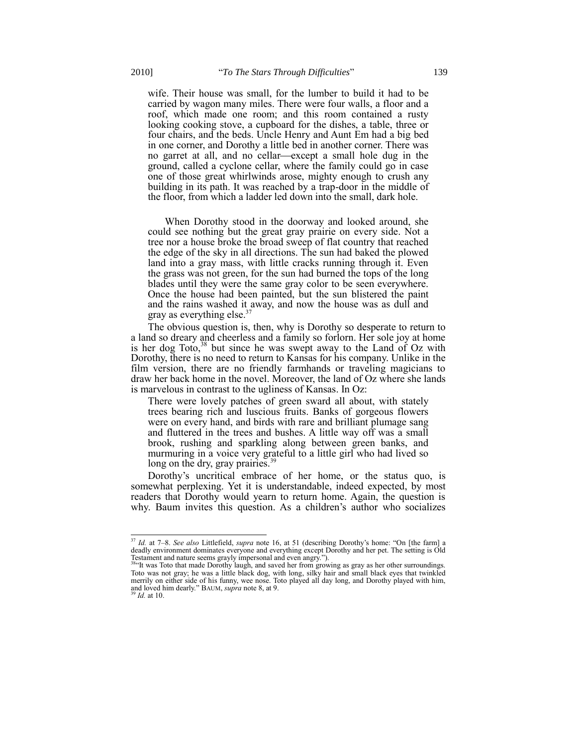wife. Their house was small, for the lumber to build it had to be carried by wagon many miles. There were four walls, a floor and a roof, which made one room; and this room contained a rusty looking cooking stove, a cupboard for the dishes, a table, three or four chairs, and the beds. Uncle Henry and Aunt Em had a big bed in one corner, and Dorothy a little bed in another corner. There was no garret at all, and no cellar—except a small hole dug in the ground, called a cyclone cellar, where the family could go in case one of those great whirlwinds arose, mighty enough to crush any building in its path. It was reached by a trap-door in the middle of the floor, from which a ladder led down into the small, dark hole.

When Dorothy stood in the doorway and looked around, she could see nothing but the great gray prairie on every side. Not a tree nor a house broke the broad sweep of flat country that reached the edge of the sky in all directions. The sun had baked the plowed land into a gray mass, with little cracks running through it. Even the grass was not green, for the sun had burned the tops of the long blades until they were the same gray color to be seen everywhere. Once the house had been painted, but the sun blistered the paint and the rains washed it away, and now the house was as dull and gray as everything else. $3<sup>3</sup>$ 

The obvious question is, then, why is Dorothy so desperate to return to a land so dreary and cheerless and a family so forlorn. Her sole joy at home is her dog Toto,<sup>38</sup> but since he was swept away to the Land of Oz with Dorothy, there is no need to return to Kansas for his company. Unlike in the film version, there are no friendly farmhands or traveling magicians to draw her back home in the novel. Moreover, the land of Oz where she lands is marvelous in contrast to the ugliness of Kansas. In Oz:

There were lovely patches of green sward all about, with stately trees bearing rich and luscious fruits. Banks of gorgeous flowers were on every hand, and birds with rare and brilliant plumage sang and fluttered in the trees and bushes. A little way off was a small brook, rushing and sparkling along between green banks, and murmuring in a voice very grateful to a little girl who had lived so long on the dry, gray prairies.<sup>39</sup>

Dorothy's uncritical embrace of her home, or the status quo, is somewhat perplexing. Yet it is understandable, indeed expected, by most readers that Dorothy would yearn to return home. Again, the question is why. Baum invites this question. As a children's author who socializes

*Id.* at 10.

<sup>&</sup>lt;sup>37</sup> *Id.* at 7–8. *See also* Littlefield, *supra* note [16](#page-1-0), at 51 (describing Dorothy's home: "On [the farm] a deadly environment dominates everyone and everything except Dorothy and her pet. The setting is Old Testament and nature seems grayly impersonal and even angry.").<br><sup>38</sup> It was Toto that made Dorothy laugh, and saved her from growing as gray as her other surroundings.

Toto was not gray; he was a little black dog, with long, silky hair and small black eyes that twinkled merrily on either side of his funny, wee nose. Toto played all day long, and Dorothy played with him, and loved him dearly." BAUM, *supra* not[e 8,](#page-0-1) at 9.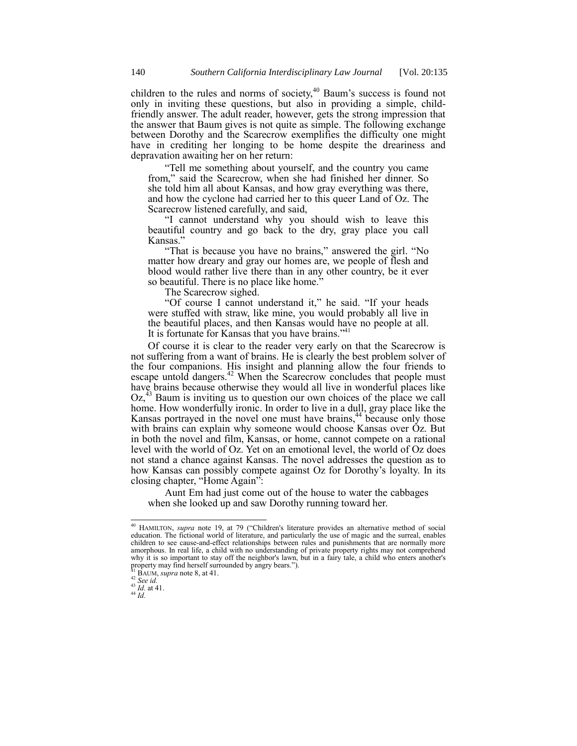children to the rules and norms of society, $40$  Baum's success is found not only in inviting these questions, but also in providing a simple, childfriendly answer. The adult reader, however, gets the strong impression that the answer that Baum gives is not quite as simple. The following exchange between Dorothy and the Scarecrow exemplifies the difficulty one might have in crediting her longing to be home despite the dreariness and depravation awaiting her on her return:

―Tell me something about yourself, and the country you came from," said the Scarecrow, when she had finished her dinner. So she told him all about Kansas, and how gray everything was there, and how the cyclone had carried her to this queer Land of Oz. The Scarecrow listened carefully, and said,

―I cannot understand why you should wish to leave this beautiful country and go back to the dry, gray place you call Kansas."

"That is because you have no brains," answered the girl. "No matter how dreary and gray our homes are, we people of flesh and blood would rather live there than in any other country, be it ever so beautiful. There is no place like home.<sup>9</sup>

The Scarecrow sighed.

"Of course I cannot understand it," he said. "If your heads were stuffed with straw, like mine, you would probably all live in the beautiful places, and then Kansas would have no people at all. It is fortunate for Kansas that you have brains."<sup>41</sup>

Of course it is clear to the reader very early on that the Scarecrow is not suffering from a want of brains. He is clearly the best problem solver of the four companions. His insight and planning allow the four friends to escape untold dangers.<sup>42</sup> When the Scarecrow concludes that people must have brains because otherwise they would all live in wonderful places like Oz,<sup>43</sup> Baum is inviting us to question our own choices of the place we call home. How wonderfully ironic. In order to live in a dull, gray place like the Kansas portrayed in the novel one must have brains,<sup>44</sup> because only those with brains can explain why someone would choose Kansas over Oz. But in both the novel and film, Kansas, or home, cannot compete on a rational level with the world of Oz. Yet on an emotional level, the world of Oz does not stand a chance against Kansas. The novel addresses the question as to how Kansas can possibly compete against Oz for Dorothy's loyalty. In its closing chapter, "Home Again":

Aunt Em had just come out of the house to water the cabbages when she looked up and saw Dorothy running toward her.

 $^{43}$  *Id.* at 41.

<sup>&</sup>lt;sup>40</sup> HAMILTON, *supra* note [19](#page-2-1), at 79 ("Children's literature provides an alternative method of social education. The fictional world of literature, and particularly the use of magic and the surreal, enables children to see cause-and-effect relationships between rules and punishments that are normally more amorphous. In real life, a child with no understanding of private property rights may not comprehend why it is so important to stay off the neighbor's lawn, but in a fairy tale, a child who enters another's property may find herself surrounded by angry bears.").

BAUM, *supra* not[e 8,](#page-0-1) at 41.

<sup>42</sup> *See id.*

<sup>44</sup> *Id.*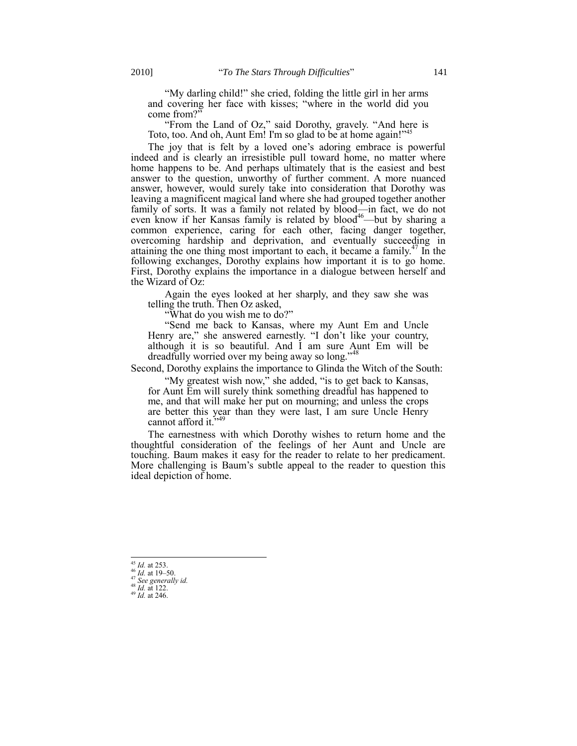"My darling child!" she cried, folding the little girl in her arms and covering her face with kisses; "where in the world did you come from?"

"From the Land of Oz," said Dorothy, gravely. "And here is Toto, too. And oh, Aunt Em! I'm so glad to be at home again!"<sup>45</sup>

The joy that is felt by a loved one's adoring embrace is powerful indeed and is clearly an irresistible pull toward home, no matter where home happens to be. And perhaps ultimately that is the easiest and best answer to the question, unworthy of further comment. A more nuanced answer, however, would surely take into consideration that Dorothy was leaving a magnificent magical land where she had grouped together another family of sorts. It was a family not related by blood—in fact, we do not even know if her Kansas family is related by blood<sup>46</sup>—but by sharing a common experience, caring for each other, facing danger together, overcoming hardship and deprivation, and eventually succeeding in attaining the one thing most important to each, it became a family.<sup>47</sup> In the following exchanges, Dorothy explains how important it is to go home. First, Dorothy explains the importance in a dialogue between herself and the Wizard of Oz:

Again the eyes looked at her sharply, and they saw she was telling the truth. Then Oz asked,

"What do you wish me to do?"

"Send me back to Kansas, where my Aunt Em and Uncle Henry are," she answered earnestly. "I don't like your country, although it is so beautiful. And I am sure Aunt Em will be dreadfully worried over my being away so long."<sup>48</sup>

Second, Dorothy explains the importance to Glinda the Witch of the South:

"My greatest wish now," she added, "is to get back to Kansas, for Aunt Em will surely think something dreadful has happened to me, and that will make her put on mourning; and unless the crops are better this year than they were last, I am sure Uncle Henry cannot afford it. $349$ 

The earnestness with which Dorothy wishes to return home and the thoughtful consideration of the feelings of her Aunt and Uncle are touching. Baum makes it easy for the reader to relate to her predicament. More challenging is Baum's subtle appeal to the reader to question this ideal depiction of home.

 $^{45}$  *Id.* at 253.

<sup>46</sup> *Id.* at 19–50. <sup>47</sup> *See generally id.*

<sup>48</sup> *Id.* at 122.

<sup>49</sup> *Id.* at 246.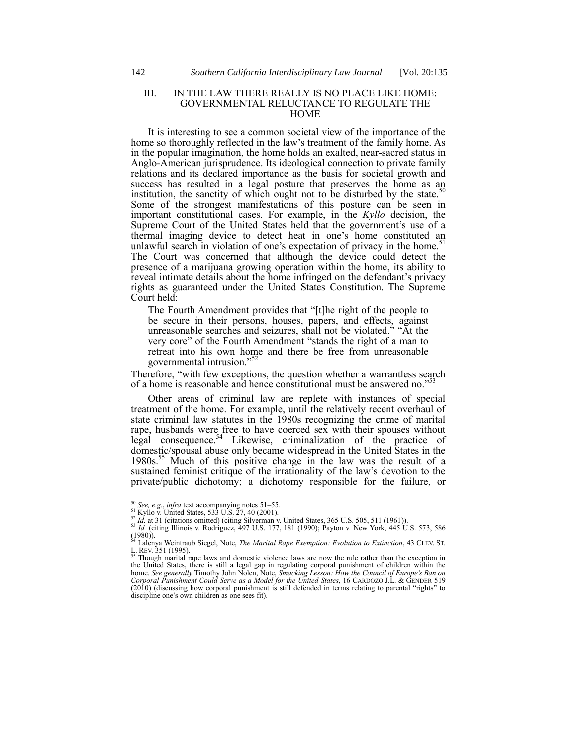#### III. IN THE LAW THERE REALLY IS NO PLACE LIKE HOME: GOVERNMENTAL RELUCTANCE TO REGULATE THE **HOME**

It is interesting to see a common societal view of the importance of the home so thoroughly reflected in the law's treatment of the family home. As in the popular imagination, the home holds an exalted, near-sacred status in Anglo-American jurisprudence. Its ideological connection to private family relations and its declared importance as the basis for societal growth and success has resulted in a legal posture that preserves the home as an institution, the sanctity of which ought not to be disturbed by the state. $50$ Some of the strongest manifestations of this posture can be seen in important constitutional cases. For example, in the *Kyllo* decision, the Supreme Court of the United States held that the government's use of a thermal imaging device to detect heat in one's home constituted an unlawful search in violation of one's expectation of privacy in the home.<sup>51</sup> The Court was concerned that although the device could detect the presence of a marijuana growing operation within the home, its ability to reveal intimate details about the home infringed on the defendant's privacy rights as guaranteed under the United States Constitution. The Supreme Court held:

<span id="page-7-0"></span>The Fourth Amendment provides that "[t]he right of the people to be secure in their persons, houses, papers, and effects, against unreasonable searches and seizures, shall not be violated." "At the very core" of the Fourth Amendment "stands the right of a man to retreat into his own home and there be free from unreasonable governmental intrusion."<sup>52</sup>

Therefore, "with few exceptions, the question whether a warrantless search of a home is reasonable and hence constitutional must be answered no."<sup>53</sup>

Other areas of criminal law are replete with instances of special treatment of the home. For example, until the relatively recent overhaul of state criminal law statutes in the 1980s recognizing the crime of marital rape, husbands were free to have coerced sex with their spouses without legal consequence.<sup>54</sup> Likewise, criminalization of the practice of domestic/spousal abuse only became widespread in the United States in the 1980s.<sup>55</sup> Much of this positive change in the law was the result of a sustained feminist critique of the irrationality of the law's devotion to the private/public dichotomy; a dichotomy responsible for the failure, or

<span id="page-7-1"></span><sup>50</sup> *See, e.g.*, *infra* text accompanying note[s 51](#page-7-0)–[55.](#page-7-1) <sup>51</sup> Kyllo v. United States, 533 U.S. 27, 40 (2001).

 $52$  *Id.* at 31 (citations omitted) (citing [Silverman v. United States, 365 U.S. 505, 511 \(1961\)\)](http://web2.westlaw.com/find/default.wl?tf=-1&rs=WLW10.08&serialnum=1961125447&fn=_top&sv=Split&tc=-1&findtype=Y&ordoc=2001500813&db=708&vr=2.0&rp=%2ffind%2fdefault.wl&pbc=023300CD).

<sup>53</sup> *Id.* (citing [Illinois v. Rodriguez, 497 U.S.](http://web2.westlaw.com/find/default.wl?tf=-1&rs=WLW10.08&serialnum=1990096214&fn=_top&sv=Split&tc=-1&findtype=Y&ordoc=2001500813&db=708&vr=2.0&rp=%2ffind%2fdefault.wl&pbc=023300CD) 177, 181 (1990); [Payton v. New York, 445 U.S. 573, 586](http://web2.westlaw.com/find/default.wl?tf=-1&rs=WLW10.08&serialnum=1980111413&fn=_top&sv=Split&tc=-1&findtype=Y&ordoc=2001500813&db=708&vr=2.0&rp=%2ffind%2fdefault.wl&pbc=023300CD)   $(1980)$ .

<sup>54</sup> Lalenya Weintraub Siegel, Note, *The Marital Rape Exemption: Evolution to Extinction*, 43 CLEV. ST.  $L$ . REV. 351 (1995).

Though marital rape laws and domestic violence laws are now the rule rather than the exception in the United States, there is still a legal gap in regulating corporal punishment of children within the home. *See generally* Timothy John Nolen, Note, *Smacking Lesson: How the Council of Europe's Ban on Corporal Punishment Could Serve as a Model for the United States*, 16 CARDOZO J.L. & GENDER 519  $(2010)$  (discussing how corporal punishment is still defended in terms relating to parental "rights" to discipline one's own children as one sees fit).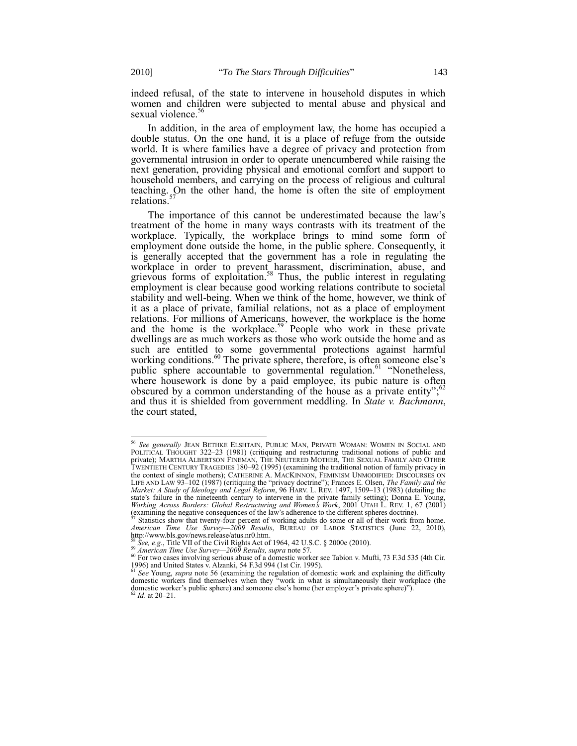indeed refusal, of the state to intervene in household disputes in which women and children were subjected to mental abuse and physical and sexual violence.<sup>56</sup>

<span id="page-8-1"></span>In addition, in the area of employment law, the home has occupied a double status. On the one hand, it is a place of refuge from the outside world. It is where families have a degree of privacy and protection from governmental intrusion in order to operate unencumbered while raising the next generation, providing physical and emotional comfort and support to household members, and carrying on the process of religious and cultural teaching. On the other hand, the home is often the site of employment relations. 57

<span id="page-8-0"></span>The importance of this cannot be underestimated because the law's treatment of the home in many ways contrasts with its treatment of the workplace. Typically, the workplace brings to mind some form of employment done outside the home, in the public sphere. Consequently, it is generally accepted that the government has a role in regulating the workplace in order to prevent harassment, discrimination, abuse, and grievous forms of exploitation.<sup>58</sup> Thus, the public interest in regulating employment is clear because good working relations contribute to societal stability and well-being. When we think of the home, however, we think of it as a place of private, familial relations, not as a place of employment relations. For millions of Americans, however, the workplace is the home and the home is the workplace.<sup>59</sup> People who work in these private dwellings are as much workers as those who work outside the home and as such are entitled to some governmental protections against harmful working conditions.<sup>60</sup> The private sphere, therefore, is often someone else's public sphere accountable to governmental regulation.<sup>61</sup> "Nonetheless, where housework is done by a paid employee, its pubic nature is often obscured by a common understanding of the house as a private entity";<sup>62</sup> and thus it is shielded from government meddling. In *State v. Bachmann*, the court stated,

<sup>56</sup> *See generally* JEAN BETHKE ELSHTAIN, PUBLIC MAN, PRIVATE WOMAN: WOMEN IN SOCIAL AND POLITICAL THOUGHT 322-23 (1981) (critiquing and restructuring traditional notions of public and private); MARTHA ALBERTSON FINEMAN, THE NEUTERED MOTHER, THE SEXUAL FAMILY AND OTHER TWENTIETH CENTURY TRAGEDIES 180–92 (1995) (examining the traditional notion of family privacy in the context of single mothers); CATHERINE A. MACKINNON, FEMINISM UNMODIFIED: DISCOURSES ON LIFE AND LAW 93–102 (1987) (critiquing the "privacy doctrine"); Frances E. Olsen, *The Family and the Market: A Study of Ideology and Legal Reform*, 96 HARV. L. REV. 1497, 1509–13 (1983) (detailing the state's failure in the nineteenth century to intervene in the private family setting); Donna E. Young, *Working Across Borders: Global Restructuring and Women's Work*, 2001 UTAH L. REV. 1, 67 (2001) (examining the negative consequences of the law's adherence to the different spheres doctrine).

Statistics show that twenty-four percent of working adults do some or all of their work from home. *American Time Use Survey—2009 Results*, BUREAU OF LABOR STATISTICS (June 22, 2010), http://www.bls.gov/news.release/atus.nr0.htm.

<sup>58</sup> *See, e.g.*, Title VII of the Civil Rights Act of 1964, 42 U.S.C. § 2000e (2010).

<sup>59</sup> *American Time Use Survey—2009 Results, supra* not[e 57](#page-8-0)*.*

 $60$  For two cases involving serious abuse of a domestic worker see Tabion v. Mufti, 73 F.3d 535 (4th Cir. 1996) and United States v. Alzanki, 54 F.3d 994 (1st Cir. 1995).

<sup>&</sup>lt;sup>61</sup> See Young, *supra* note [56](#page-8-1) (examining the regulation of domestic work and explaining the difficulty domestic workers find themselves when they "work in what is simultaneously their workplace (the domestic worker's public sphere) and someone else's home (her employer's private sphere)").<br><sup>62</sup> *Id*. at 20–21.